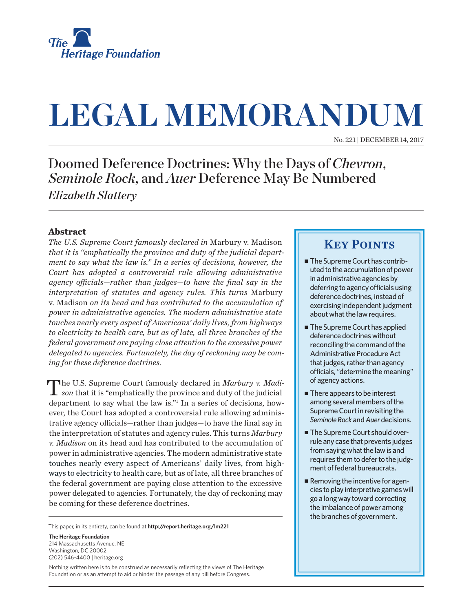

# **LEGAL MEMORANDUM**

No. 221 | December 14, 2017

## Doomed Deference Doctrines: Why the Days of *Chevron*, *Seminole Rock*, and *Auer* Deference May Be Numbered *Elizabeth Slattery*

#### **Abstract**

*The U.S. Supreme Court famously declared in* Marbury v. Madison *that it is "emphatically the province and duty of the judicial department to say what the law is." In a series of decisions, however, the Court has adopted a controversial rule allowing administrative agency officials—rather than judges—to have the final say in the interpretation of statutes and agency rules. This turns* Marbury v. Madison *on its head and has contributed to the accumulation of power in administrative agencies. The modern administrative state touches nearly every aspect of Americans' daily lives, from highways to electricity to health care, but as of late, all three branches of the federal government are paying close attention to the excessive power delegated to agencies. Fortunately, the day of reckoning may be coming for these deference doctrines.*

The U.S. Supreme Court famously declared in *Marbury v. Madi-***1** son that it is "emphatically the province and duty of the judicial department to say what the law is."1 In a series of decisions, however, the Court has adopted a controversial rule allowing administrative agency officials—rather than judges—to have the final say in the interpretation of statutes and agency rules. This turns *Marbury v. Madison* on its head and has contributed to the accumulation of power in administrative agencies. The modern administrative state touches nearly every aspect of Americans' daily lives, from highways to electricity to health care, but as of late, all three branches of the federal government are paying close attention to the excessive power delegated to agencies. Fortunately, the day of reckoning may be coming for these deference doctrines.

This paper, in its entirety, can be found at **http://report.heritage.org/lm221**

**The Heritage Foundation** 214 Massachusetts Avenue, NF Washington, DC 20002 (202) 546-4400 | heritage.org

Nothing written here is to be construed as necessarily reflecting the views of The Heritage Foundation or as an attempt to aid or hinder the passage of any bill before Congress.

## **KEY POINTS**

- $\blacksquare$  The Supreme Court has contributed to the accumulation of power in administrative agencies by deferring to agency officials using deference doctrines, instead of exercising independent judgment about what the law requires.
- The Supreme Court has applied deference doctrines without reconciling the command of the Administrative Procedure Act that judges, rather than agency officials, "determine the meaning" of agency actions.
- $\blacksquare$  There appears to be interest among several members of the Supreme Court in revisiting the *Seminole Rock* and *Auer* decisions.
- The Supreme Court should overrule any case that prevents judges from saying what the law is and requires them to defer to the judgment of federal bureaucrats.
- Removing the incentive for agencies to play interpretive games will go a long way toward correcting the imbalance of power among the branches of government.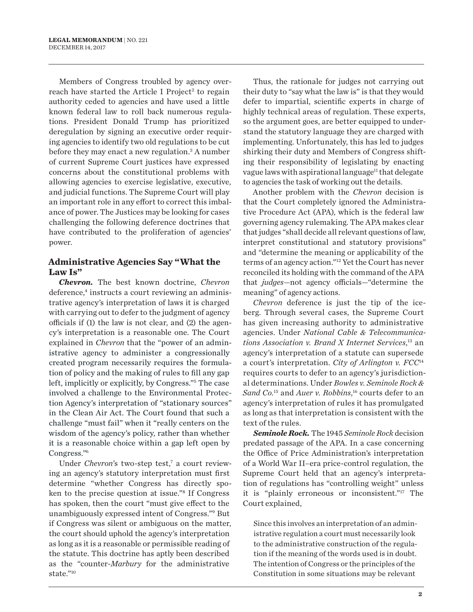Members of Congress troubled by agency overreach have started the Article I Project<sup>2</sup> to regain authority ceded to agencies and have used a little known federal law to roll back numerous regulations. President Donald Trump has prioritized deregulation by signing an executive order requiring agencies to identify two old regulations to be cut before they may enact a new regulation.<sup>3</sup> A number of current Supreme Court justices have expressed concerns about the constitutional problems with allowing agencies to exercise legislative, executive, and judicial functions. The Supreme Court will play an important role in any effort to correct this imbalance of power. The Justices may be looking for cases challenging the following deference doctrines that have contributed to the proliferation of agencies' power.

#### **Administrative Agencies Say "What the Law Is"**

*Chevron.* The best known doctrine, *Chevron*  deference,<sup>4</sup> instructs a court reviewing an administrative agency's interpretation of laws it is charged with carrying out to defer to the judgment of agency officials if (1) the law is not clear, and (2) the agency's interpretation is a reasonable one. The Court explained in *Chevron* that the "power of an administrative agency to administer a congressionally created program necessarily requires the formulation of policy and the making of rules to fill any gap left, implicitly or explicitly, by Congress."5 The case involved a challenge to the Environmental Protection Agency's interpretation of "stationary sources" in the Clean Air Act. The Court found that such a challenge "must fail" when it "really centers on the wisdom of the agency's policy, rather than whether it is a reasonable choice within a gap left open by Congress."6

Under *Chevron's* two-step test,<sup>7</sup> a court reviewing an agency's statutory interpretation must first determine "whether Congress has directly spoken to the precise question at issue."8 If Congress has spoken, then the court "must give effect to the unambiguously expressed intent of Congress."9 But if Congress was silent or ambiguous on the matter, the court should uphold the agency's interpretation as long as it is a reasonable or permissible reading of the statute. This doctrine has aptly been described as the "counter-*Marbury* for the administrative state."10

Thus, the rationale for judges not carrying out their duty to "say what the law is" is that they would defer to impartial, scientific experts in charge of highly technical areas of regulation. These experts, so the argument goes, are better equipped to understand the statutory language they are charged with implementing. Unfortunately, this has led to judges shirking their duty and Members of Congress shifting their responsibility of legislating by enacting vague laws with aspirational language<sup>11</sup> that delegate to agencies the task of working out the details.

Another problem with the *Chevron* decision is that the Court completely ignored the Administrative Procedure Act (APA), which is the federal law governing agency rulemaking. The APA makes clear that judges "shall decide all relevant questions of law, interpret constitutional and statutory provisions" and "determine the meaning or applicability of the terms of an agency action."12 Yet the Court has never reconciled its holding with the command of the APA that *judges*—not agency officials—"determine the meaning" of agency actions.

*Chevron* deference is just the tip of the iceberg. Through several cases, the Supreme Court has given increasing authority to administrative agencies. Under *National Cable & Telecommunications Association v. Brand X Internet Services*, 13 an agency's interpretation of a statute can supersede a court's interpretation. *City of Arlington v. FCC*<sup>14</sup> requires courts to defer to an agency's jurisdictional determinations. Under *Bowles v. Seminole Rock & Sand Co.*<sup>15</sup> and *Auer v. Robbins*, 16 courts defer to an agency's interpretation of rules it has promulgated as long as that interpretation is consistent with the text of the rules.

*Seminole Rock.* The 1945 *Seminole Rock* decision predated passage of the APA. In a case concerning the Office of Price Administration's interpretation of a World War II–era price-control regulation, the Supreme Court held that an agency's interpretation of regulations has "controlling weight" unless it is "plainly erroneous or inconsistent."17 The Court explained,

Since this involves an interpretation of an administrative regulation a court must necessarily look to the administrative construction of the regulation if the meaning of the words used is in doubt. The intention of Congress or the principles of the Constitution in some situations may be relevant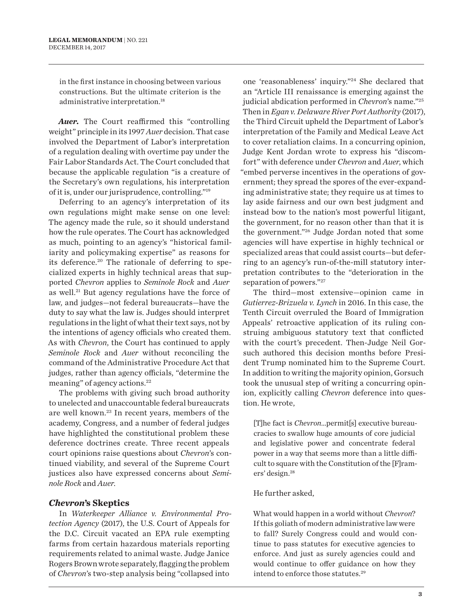in the first instance in choosing between various constructions. But the ultimate criterion is the administrative interpretation.18

*Auer.* The Court reaffirmed this "controlling weight" principle in its 1997 *Auer* decision. That case involved the Department of Labor's interpretation of a regulation dealing with overtime pay under the Fair Labor Standards Act. The Court concluded that because the applicable regulation "is a creature of the Secretary's own regulations, his interpretation of it is, under our jurisprudence, controlling."19

Deferring to an agency's interpretation of its own regulations might make sense on one level: The agency made the rule, so it should understand how the rule operates. The Court has acknowledged as much, pointing to an agency's "historical familiarity and policymaking expertise" as reasons for its deference.<sup>20</sup> The rationale of deferring to specialized experts in highly technical areas that supported *Chevron* applies to *Seminole Rock* and *Auer* as well.<sup>21</sup> But agency regulations have the force of law, and judges—not federal bureaucrats—have the duty to say what the law is. Judges should interpret regulations in the light of what their text says, not by the intentions of agency officials who created them. As with *Chevron*, the Court has continued to apply *Seminole Rock* and *Auer* without reconciling the command of the Administrative Procedure Act that judges, rather than agency officials, "determine the meaning" of agency actions.22

The problems with giving such broad authority to unelected and unaccountable federal bureaucrats are well known.23 In recent years, members of the academy, Congress, and a number of federal judges have highlighted the constitutional problem these deference doctrines create. Three recent appeals court opinions raise questions about *Chevron*'s continued viability, and several of the Supreme Court justices also have expressed concerns about *Seminole Rock* and *Auer*.

#### *Chevron***'s Skeptics**

In *Waterkeeper Alliance v. Environmental Protection Agency* (2017), the U.S. Court of Appeals for the D.C. Circuit vacated an EPA rule exempting farms from certain hazardous materials reporting requirements related to animal waste. Judge Janice Rogers Brown wrote separately, flagging the problem of *Chevron*'s two-step analysis being "collapsed into

one 'reasonableness' inquiry."24 She declared that an "Article III renaissance is emerging against the judicial abdication performed in *Chevron*'s name."25 Then in *Egan v. Delaware River Port Authority* (2017), the Third Circuit upheld the Department of Labor's interpretation of the Family and Medical Leave Act to cover retaliation claims. In a concurring opinion, Judge Kent Jordan wrote to express his "discomfort" with deference under *Chevron* and *Auer*, which "embed perverse incentives in the operations of government; they spread the spores of the ever-expanding administrative state; they require us at times to lay aside fairness and our own best judgment and instead bow to the nation's most powerful litigant, the government, for no reason other than that it is the government."26 Judge Jordan noted that some agencies will have expertise in highly technical or specialized areas that could assist courts—but deferring to an agency's run-of-the-mill statutory interpretation contributes to the "deterioration in the separation of powers."27

The third—most extensive—opinion came in *Gutierrez-Brizuela v. Lynch* in 2016. In this case, the Tenth Circuit overruled the Board of Immigration Appeals' retroactive application of its ruling construing ambiguous statutory text that conflicted with the court's precedent. Then-Judge Neil Gorsuch authored this decision months before President Trump nominated him to the Supreme Court. In addition to writing the majority opinion, Gorsuch took the unusual step of writing a concurring opinion, explicitly calling *Chevron* deference into question. He wrote,

[T]he fact is *Chevron*…permit[s] executive bureaucracies to swallow huge amounts of core judicial and legislative power and concentrate federal power in a way that seems more than a little difficult to square with the Constitution of the [F]ramers' design.28

#### He further asked,

What would happen in a world without *Chevron*? If this goliath of modern administrative law were to fall? Surely Congress could and would continue to pass statutes for executive agencies to enforce. And just as surely agencies could and would continue to offer guidance on how they intend to enforce those statutes.<sup>29</sup>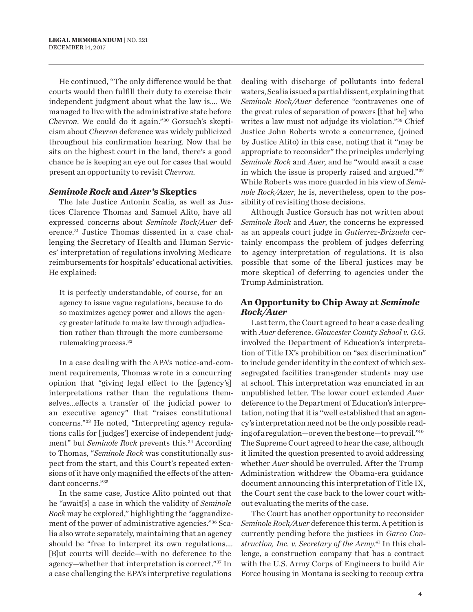He continued, "The only difference would be that courts would then fulfill their duty to exercise their independent judgment about what the law is.… We managed to live with the administrative state before *Chevron*. We could do it again."30 Gorsuch's skepticism about *Chevron* deference was widely publicized throughout his confirmation hearing. Now that he sits on the highest court in the land, there's a good chance he is keeping an eye out for cases that would present an opportunity to revisit *Chevron*.

#### *Seminole Rock* **and** *Auer'***s Skeptics**

The late Justice Antonin Scalia, as well as Justices Clarence Thomas and Samuel Alito, have all expressed concerns about *Seminole Rock*/*Auer* deference.31 Justice Thomas dissented in a case challenging the Secretary of Health and Human Services' interpretation of regulations involving Medicare reimbursements for hospitals' educational activities. He explained:

It is perfectly understandable, of course, for an agency to issue vague regulations, because to do so maximizes agency power and allows the agency greater latitude to make law through adjudication rather than through the more cumbersome rulemaking process.32

In a case dealing with the APA's notice-and-comment requirements, Thomas wrote in a concurring opinion that "giving legal effect to the [agency's] interpretations rather than the regulations themselves…effects a transfer of the judicial power to an executive agency" that "raises constitutional concerns."33 He noted, "Interpreting agency regulations calls for [judges'] exercise of independent judgment" but *Seminole Rock* prevents this.<sup>34</sup> According to Thomas, "*Seminole Rock* was constitutionally suspect from the start, and this Court's repeated extensions of it have only magnified the effects of the attendant concerns."35

In the same case, Justice Alito pointed out that he "await[s] a case in which the validity of *Seminole Rock* may be explored," highlighting the "aggrandizement of the power of administrative agencies."36 Scalia also wrote separately, maintaining that an agency should be "free to interpret its own regulations…. [B]ut courts will decide—with no deference to the agency—whether that interpretation is correct."37 In a case challenging the EPA's interpretive regulations

dealing with discharge of pollutants into federal waters, Scalia issued a partial dissent, explaining that *Seminole Rock/Auer* deference "contravenes one of the great rules of separation of powers [that he] who writes a law must not adjudge its violation."38 Chief Justice John Roberts wrote a concurrence, (joined by Justice Alito) in this case, noting that it "may be appropriate to reconsider" the principles underlying *Seminole Rock* and *Auer*, and he "would await a case in which the issue is properly raised and argued."39 While Roberts was more guarded in his view of *Seminole Rock/Auer*, he is, nevertheless, open to the possibility of revisiting those decisions.

Although Justice Gorsuch has not written about *Seminole Rock* and *Auer*, the concerns he expressed as an appeals court judge in *Gutierrez-Brizuela* certainly encompass the problem of judges deferring to agency interpretation of regulations. It is also possible that some of the liberal justices may be more skeptical of deferring to agencies under the Trump Administration.

#### **An Opportunity to Chip Away at** *Seminole Rock/Auer*

Last term, the Court agreed to hear a case dealing with *Auer* deference. *Gloucester County School v. G.G.* involved the Department of Education's interpretation of Title IX's prohibition on "sex discrimination" to include gender identity in the context of which sexsegregated facilities transgender students may use at school. This interpretation was enunciated in an unpublished letter. The lower court extended *Auer* deference to the Department of Education's interpretation, noting that it is "well established that an agency's interpretation need not be the only possible reading of a regulation—or even the best one—to prevail."40 The Supreme Court agreed to hear the case, although it limited the question presented to avoid addressing whether *Auer* should be overruled. After the Trump Administration withdrew the Obama-era guidance document announcing this interpretation of Title IX, the Court sent the case back to the lower court without evaluating the merits of the case.

The Court has another opportunity to reconsider *Seminole Rock/Auer* deference this term. A petition is currently pending before the justices in *Garco Construction, Inc. v. Secretary of the Army*. 41 In this challenge, a construction company that has a contract with the U.S. Army Corps of Engineers to build Air Force housing in Montana is seeking to recoup extra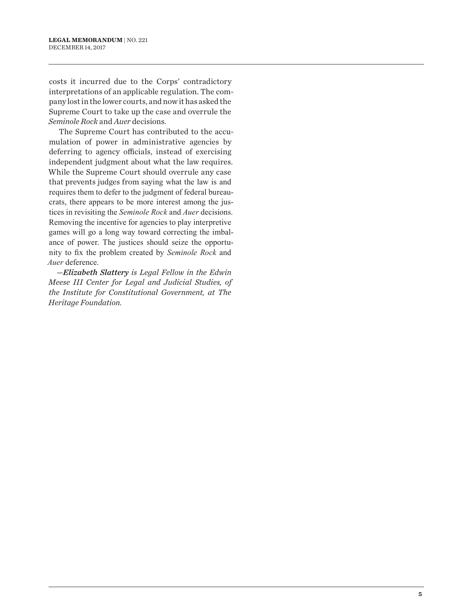costs it incurred due to the Corps' contradictory interpretations of an applicable regulation. The company lost in the lower courts, and now it has asked the Supreme Court to take up the case and overrule the *Seminole Rock* and *Auer* decisions*.*

The Supreme Court has contributed to the accumulation of power in administrative agencies by deferring to agency officials, instead of exercising independent judgment about what the law requires. While the Supreme Court should overrule any case that prevents judges from saying what the law is and requires them to defer to the judgment of federal bureaucrats, there appears to be more interest among the justices in revisiting the *Seminole Rock* and *Auer* decisions. Removing the incentive for agencies to play interpretive games will go a long way toward correcting the imbalance of power. The justices should seize the opportunity to fix the problem created by *Seminole Rock* and *Auer* deference.

*—Elizabeth Slattery is Legal Fellow in the Edwin Meese III Center for Legal and Judicial Studies, of the Institute for Constitutional Government, at The Heritage Foundation.*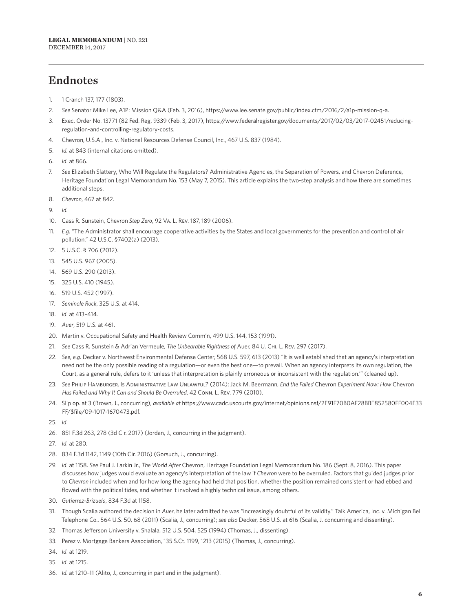## Endnotes

- 1. 1 Cranch 137, 177 (1803).
- 2. *See* Senator Mike Lee, A1P: Mission Q&A (Feb. 3, 2016), https://www.lee.senate.gov/public/index.cfm/2016/2/a1p-mission-q-a.
- 3. Exec. Order No. 13771 (82 Fed. Reg. 9339 (Feb. 3, 2017), https://www.federalregister.gov/documents/2017/02/03/2017-02451/reducingregulation-and-controlling-regulatory-costs.
- 4. Chevron, U.S.A., Inc. v. National Resources Defense Council, Inc., 467 U.S. 837 (1984).
- 5. *Id.* at 843 (internal citations omitted).
- 6. *Id*. at 866.
- 7. *See* Elizabeth Slattery, Who Will Regulate the Regulators? Administrative Agencies, the Separation of Powers, and Chevron Deference, Heritage Foundation Legal Memorandum No. 153 (May 7, 2015). This article explains the two-step analysis and how there are sometimes additional steps.
- 8. *Chevron*, 467 at 842.
- 9. *Id.*
- 10. Cass R. Sunstein, Chevron *Step Zero*, 92 Va. L. Rev. 187, 189 (2006).
- 11. *E.g.* "The Administrator shall encourage cooperative activities by the States and local governments for the prevention and control of air pollution." 42 U.S.C. §7402(a) (2013).
- 12. 5 U.S.C. § 706 (2012).
- 13. 545 U.S. 967 (2005).
- 14. 569 U.S. 290 (2013).
- 15. 325 U.S. 410 (1945).
- 16. 519 U.S. 452 (1997).
- 17. *Seminole Rock*, 325 U.S. at 414.
- 18. *Id*. at 413–414.
- 19. *Auer*, 519 U.S. at 461.
- 20. Martin v. Occupational Safety and Health Review Comm'n, 499 U.S. 144, 153 (1991).
- 21. *See* Cass R. Sunstein & Adrian Vermeule, *The Unbearable Rightness of* Auer, 84 U. Chi. L. Rev. 297 (2017).
- 22. *See, e.g.* Decker v. Northwest Environmental Defense Center, 568 U.S. 597, 613 (2013) "It is well established that an agency's interpretation need not be the only possible reading of a regulation—or even the best one—to prevail. When an agency interprets its own regulation, the Court, as a general rule, defers to it 'unless that interpretation is plainly erroneous or inconsistent with the regulation.'" (cleaned up).
- 23. *See* Philip Hamburger, Is Administrative Law Unlawful? (2014); Jack M. Beermann, *End the Failed* Chevron *Experiment Now: How* Chevron *Has Failed and Why It Can and Should Be Overruled*, 42 Conn. L. Rev. 779 (2010).
- 24. Slip op. at 3 (Brown, J., concurring), *available at* https://www.cadc.uscourts.gov/internet/opinions.nsf/2E91F70B0AF28BBE852580FF004E33 FF/\$file/09-1017-1670473.pdf.
- 25. *Id*.
- 26. 851 F.3d 263, 278 (3d Cir. 2017) (Jordan, J., concurring in the judgment).
- 27. *Id*. at 280.
- 28. 834 F.3d 1142, 1149 (10th Cir. 2016) (Gorsuch, J., concurring).
- 29. *Id*. at 1158. *See* Paul J. Larkin Jr., *The World After* Chevron, Heritage Foundation Legal Memorandum No. 186 (Sept. 8, 2016). This paper discusses how judges would evaluate an agency's interpretation of the law if *Chevron* were to be overruled. Factors that guided judges prior to *Chevron* included when and for how long the agency had held that position, whether the position remained consistent or had ebbed and flowed with the political tides, and whether it involved a highly technical issue, among others.
- 30. *Gutierrez-Brizuela*, 834 F.3d at 1158.
- 31. Though Scalia authored the decision in *Auer*, he later admitted he was "increasingly doubtful of its validity." Talk America, Inc. v. Michigan Bell Telephone Co., 564 U.S. 50, 68 (2011) (Scalia, J., concurring); *see also* Decker, 568 U.S. at 616 (Scalia, J. concurring and dissenting).
- 32. Thomas Jefferson University v. Shalala, 512 U.S. 504, 525 (1994) (Thomas, J., dissenting).
- 33. Perez v. Mortgage Bankers Association, 135 S.Ct. 1199, 1213 (2015) (Thomas, J., concurring).
- 34. *Id*. at 1219.
- 35. *Id*. at 1215.
- 36. *Id.* at 1210–11 (Alito, J., concurring in part and in the judgment).